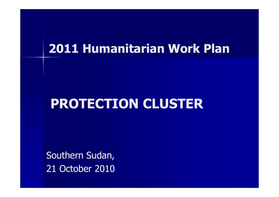### 2011 Humanitarian Work Plan

## PROTECTION CLUSTER

Southern Sudan, 21 October 2010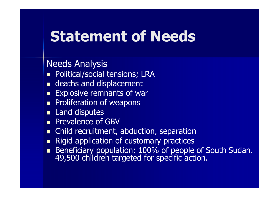## Statement of Needs

#### Needs Analysis

- **Political/social tensions; LRA**
- **deaths and displacement**
- **Explosive remnants of ware**
- **Proliferation of weapons**
- **Land disputes**
- **Prevalence of GBV**
- **n** Child recruitment, abduction, separation
- Rigid application of customary practices
- Beneficiary population: 100% of people of South Sudan.<br>49,500 children targeted for specific action.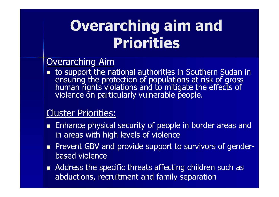# Overarching aim and Priorities

#### Overarching Aim

**EL LO SUDDOFL LNE.** ensuring the protection of populations at risk of gross<br>human rights violations and to mitigate the effects of<br>violence on particularly vulnerable people.

#### Cluster Priorities:

- **Enhance physical security of people in border areas and** in areas with high levels of violence
- **Prevent GBV and provide support to survivors of gender**based violence
- Address the specific threats affecting children such as abductions, recruitment and family separation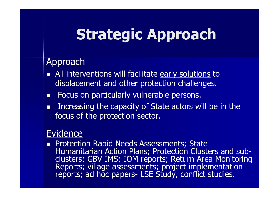## Strategic Approach

#### Approach

- All interventions will facilitate <u>early solutions</u> to<br>displacement and other protection challenges displacement and other protection challenges.
- $\blacksquare$ Focus on particularly vulnerable persons.
- п Increasing the capacity of State actors will be in the focus of the protection sector.

#### **Evidence**

**Protection Rapid Needs Assessments; State** Humanitarian Action Plans; Protection Clusters and sub-<br>clusters; GBV IMS; IOM reports; Return Area Monitoring Reports; village assessments; project implementation reports; ad hoc papers- LSE Study, conflict studies.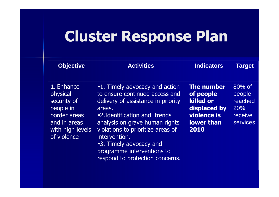# Cluster Response Plan

| <b>Objective</b>                                                                                                      | <b>Activities</b>                                                                                                                                                                                                                                                                                                                     | <b>Indicators</b>                                                                                       | <b>Target</b>                                                    |
|-----------------------------------------------------------------------------------------------------------------------|---------------------------------------------------------------------------------------------------------------------------------------------------------------------------------------------------------------------------------------------------------------------------------------------------------------------------------------|---------------------------------------------------------------------------------------------------------|------------------------------------------------------------------|
| 1. Enhance<br>physical<br>security of<br>people in<br>border areas<br>and in areas<br>with high levels<br>of violence | •1. Timely advocacy and action<br>to ensure continued access and<br>delivery of assistance in priority<br>areas.<br>•2. Identification and trends<br>analysis on grave human rights<br>violations to prioritize areas of<br>intervention.<br>.3. Timely advocacy and<br>programme interventions to<br>respond to protection concerns. | <b>The number</b><br>of people<br>killed or<br>displaced by<br>violence is<br><b>lower than</b><br>2010 | 80% of<br>people<br>reached<br>20%<br>receive<br><b>services</b> |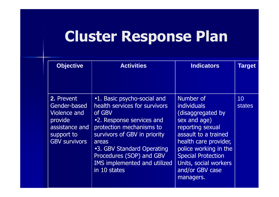# Cluster Response Plan

| <b>Objective</b>                                                                                                     | <b>Activities</b>                                                                                                                                                                                                                                                                         | <b>Indicators</b>                                                                                                                                                                                                                                        | <b>Target</b>       |
|----------------------------------------------------------------------------------------------------------------------|-------------------------------------------------------------------------------------------------------------------------------------------------------------------------------------------------------------------------------------------------------------------------------------------|----------------------------------------------------------------------------------------------------------------------------------------------------------------------------------------------------------------------------------------------------------|---------------------|
| 2. Prevent<br>Gender-based<br><b>Violence and</b><br>provide<br>assistance and<br>support to<br><b>GBV survivors</b> | •1. Basic psycho-social and<br>health services for survivors<br>of GBV<br>•2. Response services and<br>protection mechanisms to<br>survivors of GBV in priority<br>areas<br>.3. GBV Standard Operating<br>Procedures (SOP) and GBV<br><b>IMS implemented and utilized</b><br>in 10 states | Number of<br><i>individuals</i><br>(disaggregated by<br>sex and age)<br>reporting sexual<br>assault to a trained<br>health care provider,<br>police working in the<br><b>Special Protection</b><br>Units, social workers<br>and/or GBV case<br>managers. | 10<br><b>states</b> |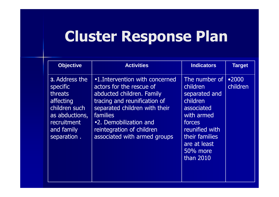# Cluster Response Plan

| <b>Objective</b>                                                                                                                                | <b>Activities</b>                                                                                                                                                                                                                                                   | <b>Indicators</b>                                                                                                                                                         | <b>Target</b>     |
|-------------------------------------------------------------------------------------------------------------------------------------------------|---------------------------------------------------------------------------------------------------------------------------------------------------------------------------------------------------------------------------------------------------------------------|---------------------------------------------------------------------------------------------------------------------------------------------------------------------------|-------------------|
| <b>3. Address the</b><br><b>specific</b><br>threats<br>affecting<br>children such<br>as abductions,<br>recruitment<br>and family<br>separation. | •1. Intervention with concerned<br>actors for the rescue of<br>abducted children. Family<br>tracing and reunification of<br>separated children with their<br><b>families</b><br>•2. Demobilization and<br>reintegration of children<br>associated with armed groups | The number of<br>children<br>separated and<br>children<br>associated<br>with armed<br>forces<br>reunified with<br>their families<br>are at least<br>50% more<br>than 2010 | •2000<br>children |